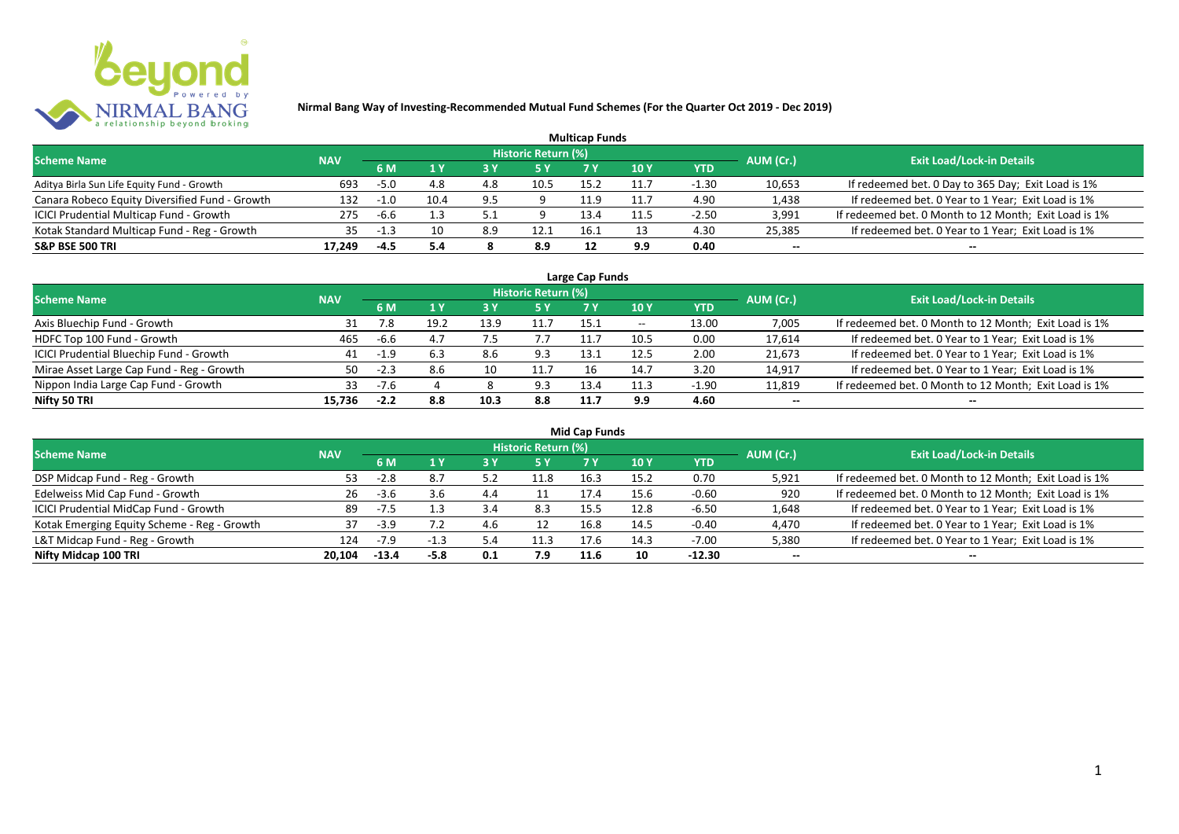

|                                                |            |        |      |     |                     | <b>Multicap Funds</b> |      |         |           |                                                       |
|------------------------------------------------|------------|--------|------|-----|---------------------|-----------------------|------|---------|-----------|-------------------------------------------------------|
| <b>Scheme Name</b>                             | <b>NAV</b> |        |      |     | Historic Return (%) |                       |      |         | AUM (Cr.) | <b>Exit Load/Lock-in Details</b>                      |
|                                                |            | 6 M    |      |     |                     |                       | 10 Y | YTD     |           |                                                       |
| Aditya Birla Sun Life Equity Fund - Growth     | 693        | $-5.0$ | 4.8  | 4.8 | 10.5                | 15.2                  | 11.7 | $-1.30$ | 10,653    | If redeemed bet. 0 Day to 365 Day; Exit Load is 1%    |
| Canara Robeco Equity Diversified Fund - Growth | 132        | -1.0   | 10.4 | 9.5 |                     | 11.9                  | 11.7 | 4.90    | 1,438     | If redeemed bet. 0 Year to 1 Year; Exit Load is 1%    |
| ICICI Prudential Multicap Fund - Growth        | 275        | -6.6   |      |     |                     | 13.4                  | 11.5 | $-2.50$ | 3,991     | If redeemed bet. 0 Month to 12 Month; Exit Load is 1% |
| Kotak Standard Multicap Fund - Reg - Growth    | 35         | -1.3   | 10   | 8.9 | 12.1                | 16.1                  |      | 4.30    | 25,385    | If redeemed bet. 0 Year to 1 Year; Exit Load is 1%    |
| <b>S&amp;P BSE 500 TRI</b>                     | 17.249     | -4.5   | 5.4  |     | 8.9                 |                       | 9.9  | 0.40    | --        | $- -$                                                 |

| Large Cap Funds                           |            |        |      |      |                            |      |                          |         |           |                                                       |  |  |  |
|-------------------------------------------|------------|--------|------|------|----------------------------|------|--------------------------|---------|-----------|-------------------------------------------------------|--|--|--|
| <b>Scheme Name</b>                        | <b>NAV</b> |        |      |      | <b>Historic Return (%)</b> |      |                          |         | AUM (Cr.) | <b>Exit Load/Lock-in Details</b>                      |  |  |  |
|                                           |            | 6 M    | 1 Y  |      | <b>5Y</b>                  | 7 Y  | <b>10Y</b>               | YTD     |           |                                                       |  |  |  |
| Axis Bluechip Fund - Growth               |            | 7.8    | 19.2 | 13.9 | 11.7                       | 15.1 | $\overline{\phantom{a}}$ | 13.00   | 7,005     | If redeemed bet. 0 Month to 12 Month; Exit Load is 1% |  |  |  |
| HDFC Top 100 Fund - Growth                | 465        | -6.6   |      |      |                            |      | 10.5                     | 0.00    | 17,614    | If redeemed bet. 0 Year to 1 Year; Exit Load is 1%    |  |  |  |
| ICICI Prudential Bluechip Fund - Growth   | 41         | -1.9   |      | 8.6  | 9.3                        | 13.1 | 12.5                     | 2.00    | 21,673    | If redeemed bet. 0 Year to 1 Year; Exit Load is 1%    |  |  |  |
| Mirae Asset Large Cap Fund - Reg - Growth | 50         | $-2.3$ | 8.6  | 10   | 11.7                       | 16   | 14.7                     | 3.20    | 14,917    | If redeemed bet. 0 Year to 1 Year; Exit Load is 1%    |  |  |  |
| Nippon India Large Cap Fund - Growth      | 33.        | $-7.6$ |      |      | 9.3                        | 13.4 | 11.3                     | $-1.90$ | 11,819    | If redeemed bet. 0 Month to 12 Month; Exit Load is 1% |  |  |  |
| Nifty 50 TRI                              | 15.736     |        | 8.8  | 10.3 | 8.8                        | 11.7 | 9.9                      | 4.60    | $- -$     | $- -$                                                 |  |  |  |

| <b>Mid Cap Funds</b>                        |            |         |        |     |                            |      |      |            |           |                                                       |  |  |  |
|---------------------------------------------|------------|---------|--------|-----|----------------------------|------|------|------------|-----------|-------------------------------------------------------|--|--|--|
| <b>Scheme Name</b>                          | <b>NAV</b> |         |        |     | <b>Historic Return (%)</b> |      |      |            | AUM (Cr.) | <b>Exit Load/Lock-in Details</b>                      |  |  |  |
|                                             |            | 6 M     |        |     | 5 Y                        | 7 Y  | 10 Y | <b>YTD</b> |           |                                                       |  |  |  |
| DSP Midcap Fund - Reg - Growth              | 53.        | $-2.8$  | 8.7    | 5.3 | 11.8                       | 16.3 | 15.2 | 0.70       | 5,921     | If redeemed bet. 0 Month to 12 Month; Exit Load is 1% |  |  |  |
| Edelweiss Mid Cap Fund - Growth             | 26         | $-3.6$  | 3.6    | 4.4 | 11                         | 17.4 | 15.6 | $-0.60$    | 920       | If redeemed bet. 0 Month to 12 Month; Exit Load is 1% |  |  |  |
| ICICI Prudential MidCap Fund - Growth       | 89         | $-7.5$  |        | 3.4 | 8.3                        | 15.5 | 12.8 | -6.50      | 1,648     | If redeemed bet. 0 Year to 1 Year; Exit Load is 1%    |  |  |  |
| Kotak Emerging Equity Scheme - Reg - Growth | 37         | $-3.9$  |        | 4.6 | 12                         | 16.8 | 14.5 | $-0.40$    | 4,470     | If redeemed bet. 0 Year to 1 Year; Exit Load is 1%    |  |  |  |
| L&T Midcap Fund - Reg - Growth              | 124        | $-7.9$  |        | 5.4 | 11.3                       | 17.6 | 14.3 | -7.00      | 5,380     | If redeemed bet. 0 Year to 1 Year; Exit Load is 1%    |  |  |  |
| Nifty Midcap 100 TRI                        | 20.104     | $-13.4$ | $-5.8$ | 0.1 | 7.9                        | 11.6 | 10   | $-12.30$   | $- -$     | --                                                    |  |  |  |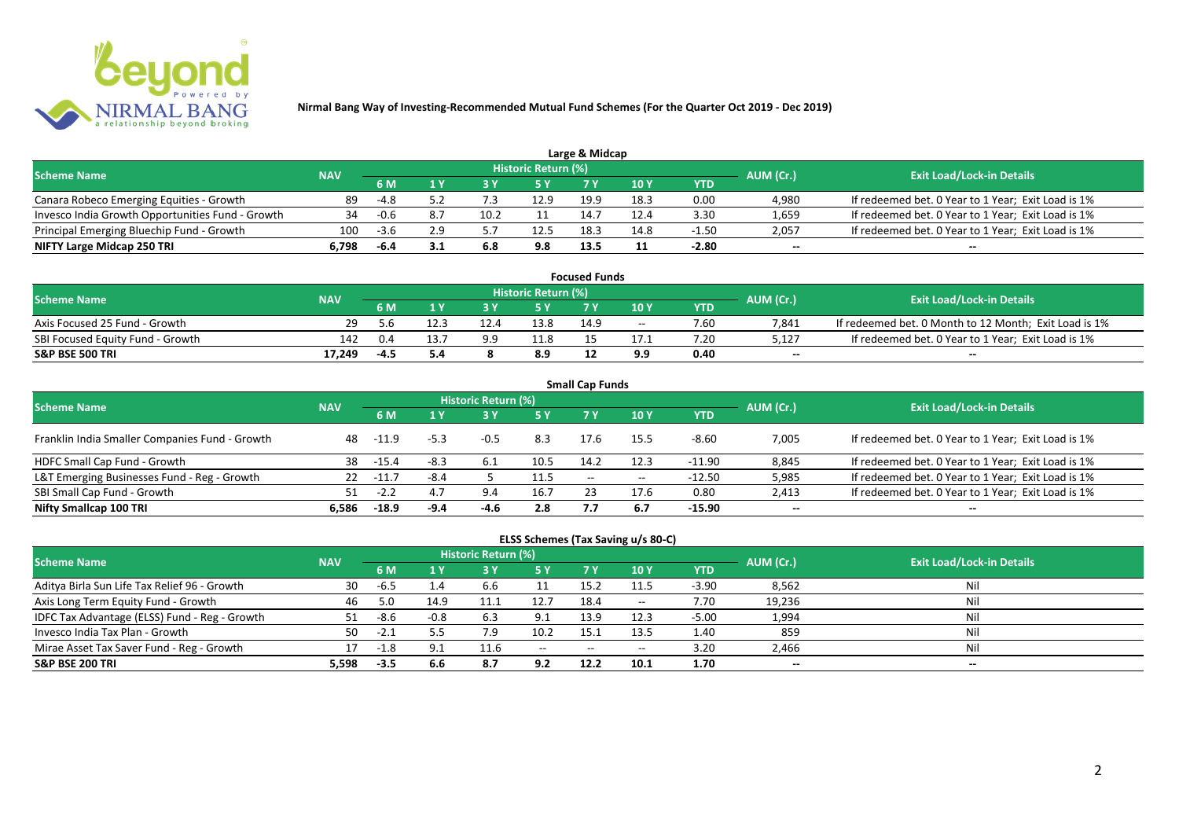

|                                                  |            |        |     |     |                            | Large & Midcap |      |         |           |                                                    |
|--------------------------------------------------|------------|--------|-----|-----|----------------------------|----------------|------|---------|-----------|----------------------------------------------------|
| <b>Scheme Name</b>                               | <b>NAV</b> |        |     |     | <b>Historic Return (%)</b> |                |      |         | AUM (Cr.) | <b>Exit Load/Lock-in Details</b>                   |
|                                                  |            | 6 M    |     |     | 5 Y                        |                |      | YTD     |           |                                                    |
| Canara Robeco Emerging Equities - Growth         | 89         | -4.8   |     |     | 12.9                       | 19.9           | 18.3 | 0.00    | 4.980     | If redeemed bet. 0 Year to 1 Year; Exit Load is 1% |
| Invesco India Growth Opportunities Fund - Growth |            | -0.6   |     |     |                            | 14.7           | 12.4 | 3.30    | 1,659     | If redeemed bet. 0 Year to 1 Year; Exit Load is 1% |
| Principal Emerging Bluechip Fund - Growth        | 100        | $-3.6$ | 2.9 |     | 12.5                       | 18.3           | 14.8 | $-1.50$ | 2,057     | If redeemed bet. 0 Year to 1 Year; Exit Load is 1% |
| NIFTY Large Midcap 250 TRI                       | 6.798      | -6.4   |     | 6.8 | 9.8                        | 13.5           |      | $-2.80$ | $- -$     | $- -$                                              |

| <b>Focused Funds</b>             |            |     |      |     |                            |      |       |      |           |                                                       |  |  |
|----------------------------------|------------|-----|------|-----|----------------------------|------|-------|------|-----------|-------------------------------------------------------|--|--|
| <b>Scheme Name</b>               | <b>NAV</b> |     |      |     | <b>Historic Return (%)</b> |      |       |      | AUM (Cr.) | <b>Exit Load/Lock-in Details</b>                      |  |  |
|                                  |            | 6 M |      |     | 5 Y                        |      | 10 Y  | YTD  |           |                                                       |  |  |
| Axis Focused 25 Fund - Growth    | 29.        | 5.6 |      |     | 13.8                       | 14.9 | $- -$ | 7.60 | 7,841     | If redeemed bet. 0 Month to 12 Month; Exit Load is 1% |  |  |
| SBI Focused Equity Fund - Growth | 142        | 0.4 | 13.7 | 9.9 | 11.8                       |      |       | 7.20 | 5,127     | If redeemed bet. 0 Year to 1 Year; Exit Load is 1%    |  |  |
| <b>S&amp;P BSE 500 TRI</b>       | 17,249     |     | 5.4  |     | 8.9                        |      | 9.9   | 0.40 | $-$       | $-$                                                   |  |  |

| <b>Small Cap Funds</b>                         |            |         |        |                     |      |                   |       |            |           |                                                    |  |  |  |
|------------------------------------------------|------------|---------|--------|---------------------|------|-------------------|-------|------------|-----------|----------------------------------------------------|--|--|--|
| <b>Scheme Name</b>                             | <b>NAV</b> |         |        | Historic Return (%) |      |                   |       |            | AUM (Cr.) | <b>Exit Load/Lock-in Details</b>                   |  |  |  |
|                                                |            |         |        |                     | 5 Y  | 7 Y               | 710Y  | <b>YTD</b> |           |                                                    |  |  |  |
| Franklin India Smaller Companies Fund - Growth | 48         | -11.9   | $-5.3$ | $-0.5$              | 8.3  | 17.6              | 15.5  | $-8.60$    | 7,005     | If redeemed bet. 0 Year to 1 Year; Exit Load is 1% |  |  |  |
| HDFC Small Cap Fund - Growth                   | 38         | -15.4   | $-8.3$ | 6.1                 | 10.5 | 14.2              | 12.3  | -11.90     | 8,845     | If redeemed bet. 0 Year to 1 Year; Exit Load is 1% |  |  |  |
| L&T Emerging Businesses Fund - Reg - Growth    | 22         | $-11.7$ | $-8.4$ |                     | 11.5 | $\hspace{0.05cm}$ | $- -$ | $-12.50$   | 5,985     | If redeemed bet. 0 Year to 1 Year; Exit Load is 1% |  |  |  |
| SBI Small Cap Fund - Growth                    |            | $-2.2$  | 4.7    | 9.4                 | 16.7 |                   | 17.6  | 0.80       | 2,413     | If redeemed bet. 0 Year to 1 Year; Exit Load is 1% |  |  |  |
| Nifty Smallcap 100 TRI                         | 6.586      | $-18.9$ | -9.4   | -4.6                | 2.8  |                   | 6.7   | $-15.90$   | $- -$     | --                                                 |  |  |  |

## **ELSS Schemes (Tax Saving u/s 80-C)**

| <b>Scheme Name</b>                            | <b>NAV</b> |        |        | <b>Historic Return (%)</b> |           |      |               |         | AUM (Cr.) | <b>Exit Load/Lock-in Details</b> |
|-----------------------------------------------|------------|--------|--------|----------------------------|-----------|------|---------------|---------|-----------|----------------------------------|
|                                               |            | 6 M    |        |                            | <b>5Y</b> | 7 Y  | <b>10Y</b>    | YTD     |           |                                  |
| Aditya Birla Sun Life Tax Relief 96 - Growth  | 30         | -6.5   | 1.4    | 6.6                        |           | 15.2 | 11.5          | $-3.90$ | 8,562     | Nil                              |
| Axis Long Term Equity Fund - Growth           | 46         |        | 14.9   | 11.1                       | 12.7      | 18.4 | $\sim$ $\sim$ | 7.70    | 19,236    | Nil                              |
| IDFC Tax Advantage (ELSS) Fund - Reg - Growth |            | -8.6   | $-0.8$ | 6.3                        | 9.1       | 13.9 | 12.3          | $-5.00$ | 1,994     | Nil                              |
| Invesco India Tax Plan - Growth               | 50         | $-2.1$ |        |                            | 10.2      | 15.  | 13.5          | 1.40    | 859       | Nil                              |
| Mirae Asset Tax Saver Fund - Reg - Growth     | 17         | $-1.8$ | 9.1    | 11.6                       | $  \,$    | $-$  | $- -$         | 3.20    | 2,466     | Nil                              |
| <b>S&amp;P BSE 200 TRI</b>                    | 5.598      | $-3.5$ | 6.6    | 8.7                        | 9.2       | 12.2 | 10.1          | 1.70    | $- -$     | $- -$                            |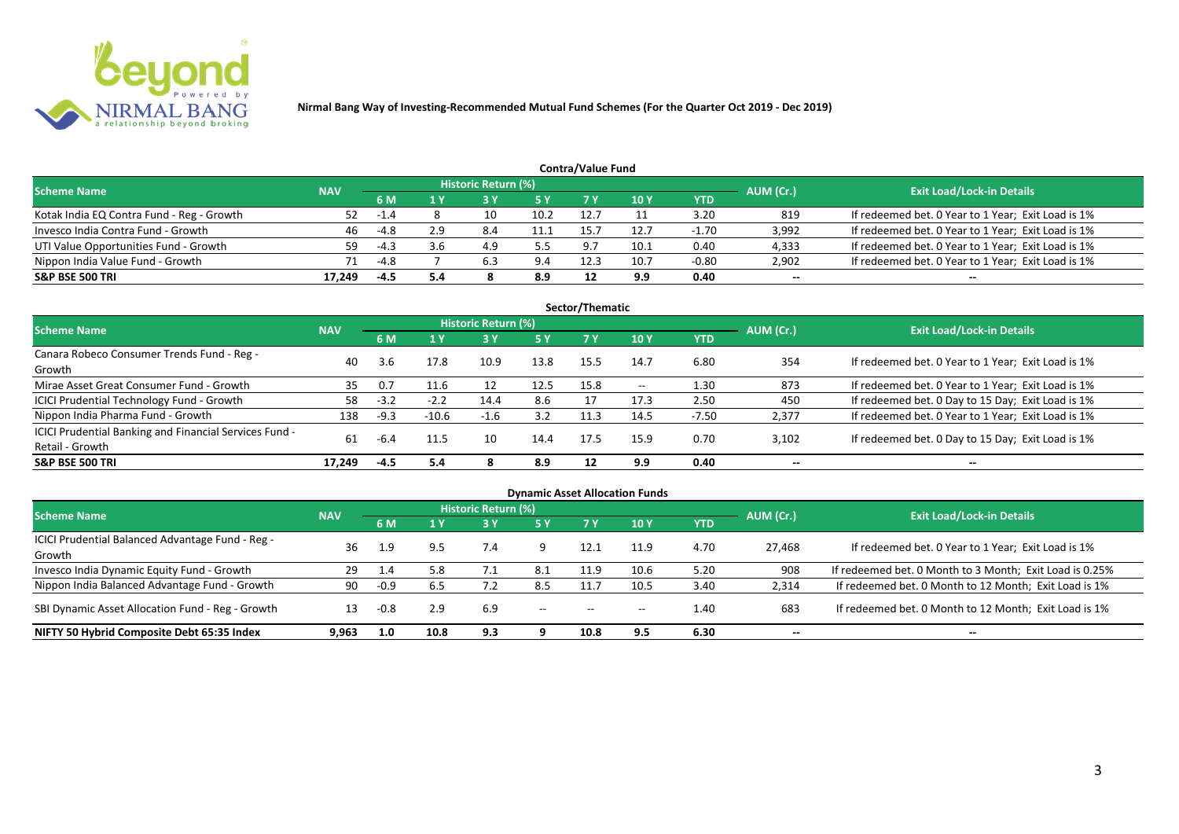

| <b>Contra/Value Fund</b>                  |            |        |     |                            |           |      |      |            |           |                                                    |  |  |  |
|-------------------------------------------|------------|--------|-----|----------------------------|-----------|------|------|------------|-----------|----------------------------------------------------|--|--|--|
| <b>Scheme Name</b>                        | <b>NAV</b> |        |     | <b>Historic Return (%)</b> |           |      |      |            | AUM (Cr.) | <b>Exit Load/Lock-in Details</b>                   |  |  |  |
|                                           |            | 6 M    |     |                            | <b>5Y</b> |      | 10Y  | <b>YTD</b> |           |                                                    |  |  |  |
| Kotak India EQ Contra Fund - Reg - Growth | 52         | $-1.4$ |     |                            | 10.2      | 12.7 |      | 3.20       | 819       | If redeemed bet. 0 Year to 1 Year; Exit Load is 1% |  |  |  |
| Invesco India Contra Fund - Growth        | 46         | -4.8   | 2.9 | 8.4                        |           | 15.  | 12.7 | $-1.70$    | 3,992     | If redeemed bet. 0 Year to 1 Year; Exit Load is 1% |  |  |  |
| UTI Value Opportunities Fund - Growth     | 59         | $-4.3$ | 3.6 | 4.9                        | 5.5       | ດ :  | 10.1 | 0.40       | 4,333     | If redeemed bet. 0 Year to 1 Year; Exit Load is 1% |  |  |  |
| Nippon India Value Fund - Growth          | 71         | -4.8   |     | 6.3                        |           | 12.3 | 10.7 | $-0.80$    | 2,902     | If redeemed bet. 0 Year to 1 Year; Exit Load is 1% |  |  |  |
| <b>S&amp;P BSE 500 TRI</b>                | 17.249     | -4.5   | 5.4 |                            | 8.9       | 12   | 9.9  | 0.40       | $- -$     | $- -$                                              |  |  |  |

| Sector/Thematic                                        |            |        |         |                            |      |      |                          |         |           |                                                    |  |  |  |
|--------------------------------------------------------|------------|--------|---------|----------------------------|------|------|--------------------------|---------|-----------|----------------------------------------------------|--|--|--|
| <b>Scheme Name</b>                                     | <b>NAV</b> |        |         | <b>Historic Return (%)</b> |      |      |                          |         | AUM (Cr.) | <b>Exit Load/Lock-in Details</b>                   |  |  |  |
|                                                        |            | 6 M    | 1Y      | 73 Y                       | 5 Y  | 7 Y  | 10Y                      | YTD     |           |                                                    |  |  |  |
| Canara Robeco Consumer Trends Fund - Reg -             | 40         | 3.6    | 17.8    | 10.9                       | 13.8 | 15.5 | 14.7                     | 6.80    | 354       | If redeemed bet. 0 Year to 1 Year; Exit Load is 1% |  |  |  |
| Growth                                                 |            |        |         |                            |      |      |                          |         |           |                                                    |  |  |  |
| Mirae Asset Great Consumer Fund - Growth               | 35         | 0.7    | 11.6    | 12                         | 12.5 | 15.8 | $\overline{\phantom{a}}$ | 1.30    | 873       | If redeemed bet. 0 Year to 1 Year; Exit Load is 1% |  |  |  |
| <b>ICICI Prudential Technology Fund - Growth</b>       | 58         | $-3.2$ | $-2.2$  | 14.4                       | 8.6  |      | 17.3                     | 2.50    | 450       | If redeemed bet. 0 Day to 15 Day; Exit Load is 1%  |  |  |  |
| Nippon India Pharma Fund - Growth                      | 138        | $-9.3$ | $-10.6$ | $-1.6$                     | 3.2  | 11.3 | 14.5                     | $-7.50$ | 2,377     | If redeemed bet. 0 Year to 1 Year; Exit Load is 1% |  |  |  |
| ICICI Prudential Banking and Financial Services Fund - | 61         | $-6.4$ |         |                            | 14.4 | 17.5 | 15.9                     | 0.70    | 3,102     |                                                    |  |  |  |
| Retail - Growth                                        |            |        |         | 10                         |      |      |                          |         |           | If redeemed bet. 0 Day to 15 Day; Exit Load is 1%  |  |  |  |
| <b>S&amp;P BSE 500 TRI</b>                             | 17.249     | -4.5   | 5.4     | 8                          | 8.9  | 12   | 9.9                      | 0.40    | --        | $- -$                                              |  |  |  |

| <b>Dynamic Asset Allocation Funds</b>            |            |        |      |                            |           |                          |                 |            |           |                                                         |  |  |  |
|--------------------------------------------------|------------|--------|------|----------------------------|-----------|--------------------------|-----------------|------------|-----------|---------------------------------------------------------|--|--|--|
| <b>Scheme Name</b>                               | <b>NAV</b> |        |      | <b>Historic Return (%)</b> |           |                          |                 |            | AUM (Cr.) | <b>Exit Load/Lock-in Details</b>                        |  |  |  |
|                                                  |            | 6 M    | 1 Y  | 7 3 Y                      | <b>5Y</b> | 7 Y                      | 10 <sub>Y</sub> | <b>YTD</b> |           |                                                         |  |  |  |
| ICICI Prudential Balanced Advantage Fund - Reg - | 36         | 1.9    | 9.5  | 7.4                        | 9         | 12.1                     | 11.9            | 4.70       | 27,468    | If redeemed bet. 0 Year to 1 Year; Exit Load is 1%      |  |  |  |
| Growth                                           |            |        |      |                            |           |                          |                 |            |           |                                                         |  |  |  |
| Invesco India Dynamic Equity Fund - Growth       | 29         | 1.4    | 5.8  | 7. 1                       | 8.1       | 11.9                     | 10.6            | 5.20       | 908       | If redeemed bet. 0 Month to 3 Month; Exit Load is 0.25% |  |  |  |
| Nippon India Balanced Advantage Fund - Growth    | 90         | $-0.9$ | 6.5  |                            | 8.5       | 11.                      | 10.5            | 3.40       | 2,314     | If redeemed bet. 0 Month to 12 Month; Exit Load is 1%   |  |  |  |
| SBI Dynamic Asset Allocation Fund - Reg - Growth | 13         | -0.8   | 2.9  | 6.9                        | $- -$     | $\overline{\phantom{a}}$ | $- -$           | 1.40       | 683       | If redeemed bet. 0 Month to 12 Month; Exit Load is 1%   |  |  |  |
| NIFTY 50 Hybrid Composite Debt 65:35 Index       | 9.963      | 1.0    | 10.8 | 9.3                        |           | 10.8                     | 9.5             | 6.30       | $- -$     | $- -$                                                   |  |  |  |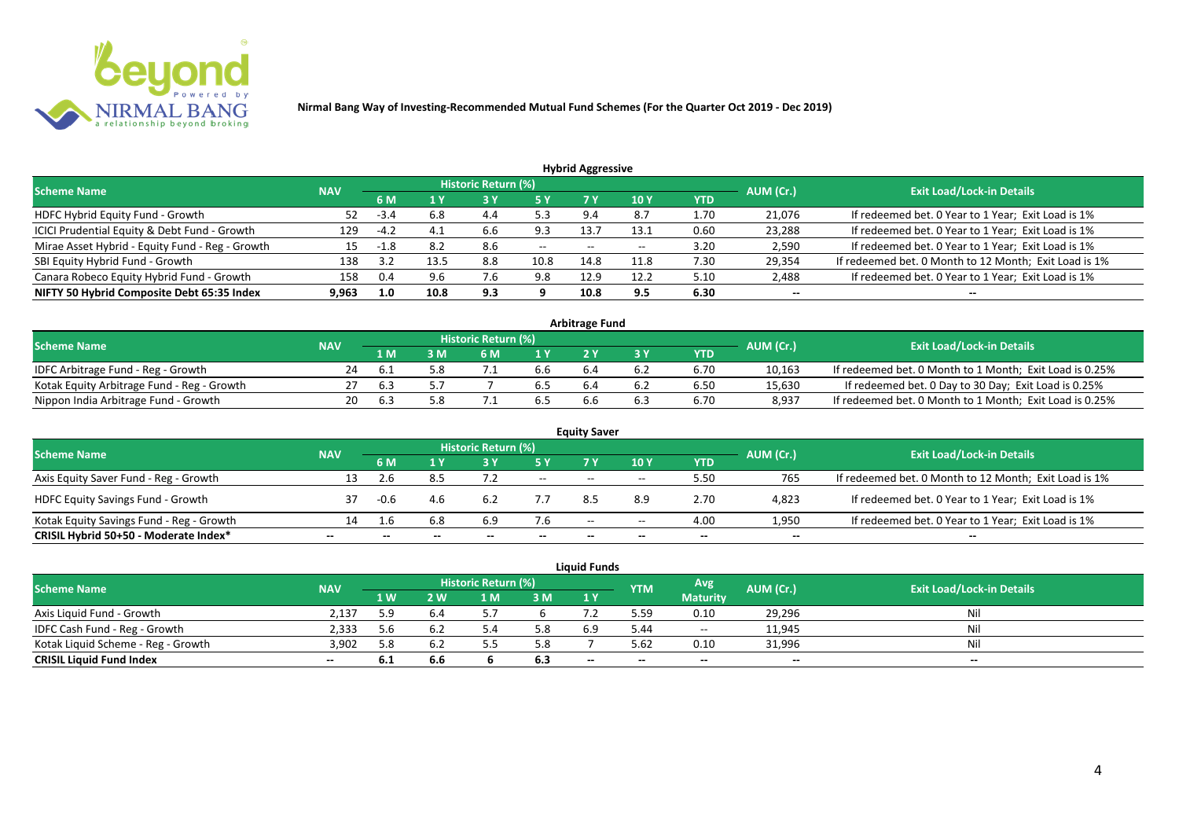

| <b>Hybrid Aggressive</b> |            |      |     |       |                            |       |            |        |                                                       |  |  |  |  |
|--------------------------|------------|------|-----|-------|----------------------------|-------|------------|--------|-------------------------------------------------------|--|--|--|--|
|                          |            |      |     |       |                            |       |            |        | <b>Exit Load/Lock-in Details</b>                      |  |  |  |  |
|                          | 6 M        |      |     | 5 Y   |                            | 10Y   | <b>YTD</b> |        |                                                       |  |  |  |  |
| 52                       | -3.4       | 6.8  | 4.4 | 5.3   | 9.4                        | 8.7   | 1.70       | 21,076 | If redeemed bet. 0 Year to 1 Year; Exit Load is 1%    |  |  |  |  |
| 129                      | $-4.2$     |      | 6.6 | 9.3   | 13.7                       | 13.1  | 0.60       | 23,288 | If redeemed bet. 0 Year to 1 Year; Exit Load is 1%    |  |  |  |  |
| 15                       | -1.8       | 8.2  | 8.6 | $- -$ | $- -$                      | $- -$ | 3.20       | 2,590  | If redeemed bet. 0 Year to 1 Year; Exit Load is 1%    |  |  |  |  |
| 138                      | 3.2        | 13.5 | 8.8 | 10.8  | 14.8                       | 11.8  | 7.30       | 29,354 | If redeemed bet. 0 Month to 12 Month; Exit Load is 1% |  |  |  |  |
| 158                      | 0.4        | 9.6  | 7.b | 9.8   | 12.9                       | 12.2  | 5.10       | 2,488  | If redeemed bet. 0 Year to 1 Year; Exit Load is 1%    |  |  |  |  |
| 9.963                    | 1.0        | 10.8 | 9.3 |       | 10.8                       | 9.5   | 6.30       | $- -$  | --                                                    |  |  |  |  |
|                          | <b>NAV</b> |      |     |       | <b>Historic Return (%)</b> |       |            |        | AUM (Cr.)                                             |  |  |  |  |

| <b>Arbitrage Fund</b>                      |            |     |     |                            |                  |     |     |      |           |                                                         |  |  |  |
|--------------------------------------------|------------|-----|-----|----------------------------|------------------|-----|-----|------|-----------|---------------------------------------------------------|--|--|--|
| <b>Scheme Name</b>                         | <b>NAV</b> |     |     | <b>Historic Return (%)</b> |                  |     |     |      | AUM (Cr.) | <b>Exit Load/Lock-in Details</b>                        |  |  |  |
|                                            |            | L M | : M | 6 M                        | $\overline{1}$ Y |     |     | YTD  |           |                                                         |  |  |  |
| IDFC Arbitrage Fund - Reg - Growth         | 24         |     |     |                            | b.b              | b.4 | b.Z | 6.70 | 10,163    | If redeemed bet. 0 Month to 1 Month; Exit Load is 0.25% |  |  |  |
| Kotak Equity Arbitrage Fund - Reg - Growth |            | ь.  |     |                            |                  | h.4 |     | 6.50 | 15,630    | If redeemed bet. 0 Day to 30 Day; Exit Load is 0.25%    |  |  |  |
| Nippon India Arbitrage Fund - Growth       |            |     |     |                            |                  | b.b |     | 6.70 | 8,937     | If redeemed bet. 0 Month to 1 Month; Exit Load is 0.25% |  |  |  |

|                                          |            |        |     |                            |        | <b>Equity Saver</b> |       |            |           |                                                       |  |
|------------------------------------------|------------|--------|-----|----------------------------|--------|---------------------|-------|------------|-----------|-------------------------------------------------------|--|
| <b>Scheme Name</b>                       | <b>NAV</b> |        |     | <b>Historic Return (%)</b> |        |                     |       |            | AUM (Cr.) | <b>Exit Load/Lock-in Details</b>                      |  |
|                                          |            | 6 M    |     |                            | 5 Y    | 7V                  | 10Y   | <b>YTD</b> |           |                                                       |  |
| Axis Equity Saver Fund - Reg - Growth    | 13         |        | 8.5 |                            | $\sim$ | $- -$               | $- -$ | 5.50       | 765       | If redeemed bet. 0 Month to 12 Month; Exit Load is 1% |  |
| <b>HDFC Equity Savings Fund - Growth</b> |            | $-0.6$ | 4.6 | 6.2                        |        |                     | 8.9   | 2.70       | 4,823     | If redeemed bet. 0 Year to 1 Year; Exit Load is 1%    |  |
| Kotak Equity Savings Fund - Reg - Growth | 14         | 1.6    | 6.8 | 6.9                        | 7.6    | $- -$               | $- -$ | 4.00       | 1,950     | If redeemed bet. 0 Year to 1 Year; Exit Load is 1%    |  |
| CRISIL Hybrid 50+50 - Moderate Index*    | $- -$      |        |     |                            | --     | --                  | $- -$ | $- -$      | $- -$     | $- -$                                                 |  |

|                                    |            |     |              |                     |     | <b>Liquid Funds</b> |            |                 |           |                                  |
|------------------------------------|------------|-----|--------------|---------------------|-----|---------------------|------------|-----------------|-----------|----------------------------------|
| <b>Scheme Name</b>                 | <b>NAV</b> |     |              | Historic Return (%) |     |                     | <b>YTM</b> | Avg.            | AUM (Cr.) | <b>Exit Load/Lock-in Details</b> |
|                                    |            | 1 W | $\mathbf{w}$ | ∣ M                 | 3 M | 1Y                  |            | <b>Maturity</b> |           |                                  |
| Axis Liquid Fund - Growth          | 2,137      | 5.9 | 6.4          |                     |     |                     | 5.59       | 0.10            | 29,296    | Nil                              |
| IDFC Cash Fund - Reg - Growth      | 2,333      | 5.6 | 6.2          |                     | 5.8 | 6.9                 | 44.د       | $\sim$          | 11,945    | Nil                              |
| Kotak Liquid Scheme - Reg - Growth | 3,902      |     | 6.2          |                     | 5.8 |                     | 5.62       | 0.10            | 31,996    | Nil                              |
| <b>CRISIL Liquid Fund Index</b>    | $- -$      | b.1 | 6.6          |                     | 6.3 | $-$                 | $- -$      | $- -$           | $- -$     | $- -$                            |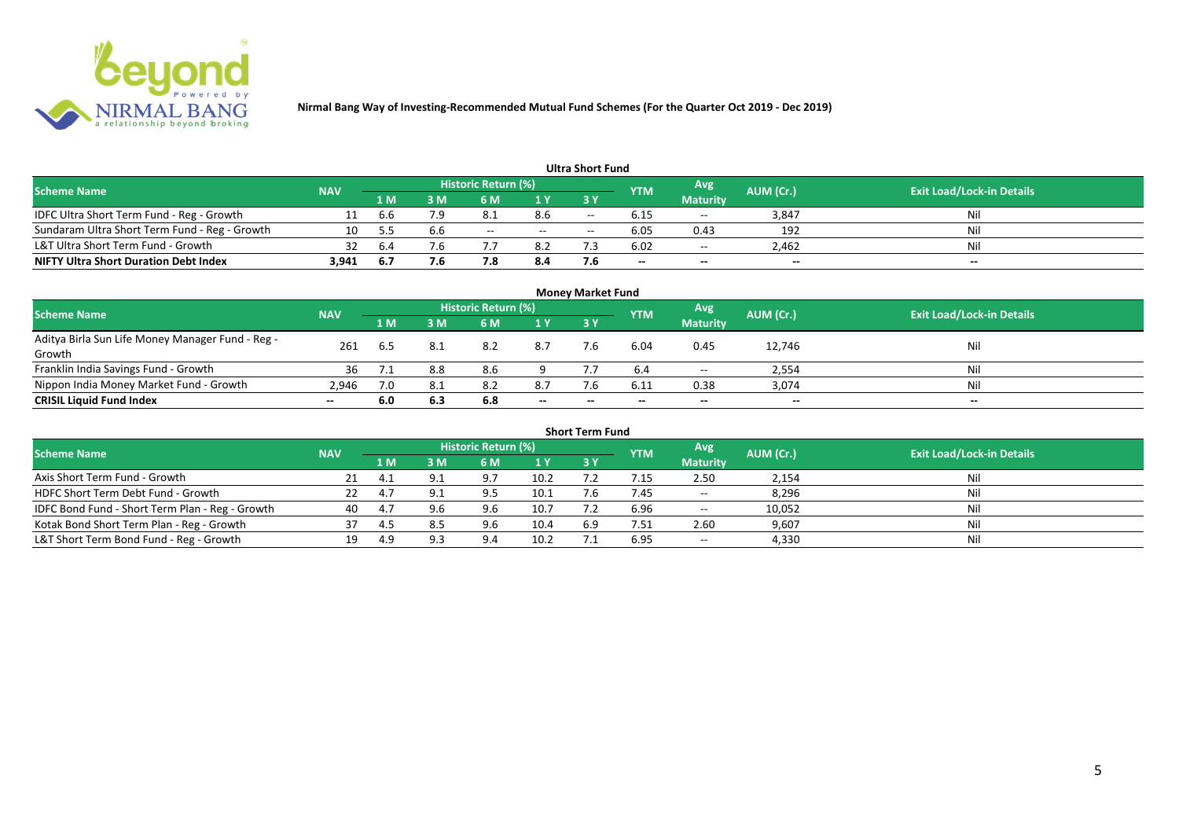

|                                               |            |      |     |                            |       | <b>Ultra Short Fund</b> |      |                 |                          |                                  |
|-----------------------------------------------|------------|------|-----|----------------------------|-------|-------------------------|------|-----------------|--------------------------|----------------------------------|
| <b>Scheme Name</b>                            | <b>NAV</b> |      |     | <b>Historic Return (%)</b> |       |                         | YTM  | Avg             | AUM (Cr.)                | <b>Exit Load/Lock-in Details</b> |
|                                               |            | 1 M  | sм  | 6 M                        | 1 Y   | 3Y                      |      | <b>Maturity</b> |                          |                                  |
| IDFC Ultra Short Term Fund - Reg - Growth     | 11         | b.b  | 7.9 |                            | 8.6   | $- -$                   | 6.15 | $\sim$          | 3,847                    | Nil                              |
| Sundaram Ultra Short Term Fund - Reg - Growth | 10         |      | 6.6 | $- -$                      | $- -$ | $-$                     | 6.05 | 0.43            | 192                      | Nil                              |
| L&T Ultra Short Term Fund - Growth            |            | 6.4  |     |                            | 8.2   |                         | 6.02 | $\sim$ $-$      | 2.462                    | Nil                              |
| <b>NIFTY Ultra Short Duration Debt Index</b>  | 3,941      | -6.7 | 7.6 |                            | 8.4   |                         | $-$  | $-$             | $\overline{\phantom{a}}$ | $- -$                            |

|                                                  |            |     |     |                            |                          | <b>Money Market Fund</b> |            |                 |           |                                  |
|--------------------------------------------------|------------|-----|-----|----------------------------|--------------------------|--------------------------|------------|-----------------|-----------|----------------------------------|
| <b>Scheme Name</b>                               | <b>NAV</b> |     |     | <b>Historic Return (%)</b> |                          |                          | <b>YTM</b> | Avg             | AUM (Cr.) | <b>Exit Load/Lock-in Details</b> |
|                                                  |            | 1 M | 3 M | 6 M                        | 1Y                       | 3Y                       |            | <b>Maturity</b> |           |                                  |
| Aditya Birla Sun Life Money Manager Fund - Reg - | 261        |     |     | 8.2                        | 8.7                      |                          | 6.04       | 0.45            |           | Nil                              |
| Growth                                           |            | 6.5 |     |                            |                          | 7.6                      |            |                 | 12,746    |                                  |
| Franklin India Savings Fund - Growth             | 36         |     | 8.8 | 8.6                        |                          |                          |            | $- -$           | 2,554     | Nil                              |
| Nippon India Money Market Fund - Growth          | 2.946      | 7.0 |     | 8.2                        | 8.7                      |                          | 6.11       | 0.38            | 3,074     | Nil                              |
| <b>CRISIL Liquid Fund Index</b>                  | $- -$      | 6.0 | 6.3 | 6.8                        | $\overline{\phantom{a}}$ | $- -$                    | --         | $- -$           | $-$       | $- -$                            |

|                                                 |            |      |     |                     |                                     | <b>Short Term Fund</b> |            |            |           |                                  |
|-------------------------------------------------|------------|------|-----|---------------------|-------------------------------------|------------------------|------------|------------|-----------|----------------------------------|
| <b>Scheme Name</b>                              | <b>NAV</b> |      |     | Historic Return (%) |                                     |                        | <b>YTM</b> | Avg        | AUM (Cr.) | <b>Exit Load/Lock-in Details</b> |
|                                                 |            | 1 M. | 3 M | 6 M                 | <b>3 Y</b><br>1Y<br><b>Maturity</b> |                        |            |            |           |                                  |
| Axis Short Term Fund - Growth                   |            |      |     | 9.7                 | 10.2                                |                        |            | 2.50       | 2,154     | Nil                              |
| HDFC Short Term Debt Fund - Growth              |            |      |     | 9.5                 | 10.1                                |                        | 7.45       | $- -$      | 8,296     | Nil                              |
| IDFC Bond Fund - Short Term Plan - Reg - Growth | 40         | 4.7  |     | 9.6                 | 10.7                                |                        | 6.96       | $\sim$ $-$ | 10,052    | Nil                              |
| Kotak Bond Short Term Plan - Reg - Growth       | 37         |      |     | 9.6                 | 10.4                                | 6.9                    | 7.51       | 2.60       | 9,607     | Nil                              |
| L&T Short Term Bond Fund - Reg - Growth         |            | 4.9  | a a | 9 A                 | 10.2                                |                        | 6.95       | $- -$      | 4,330     | Nil                              |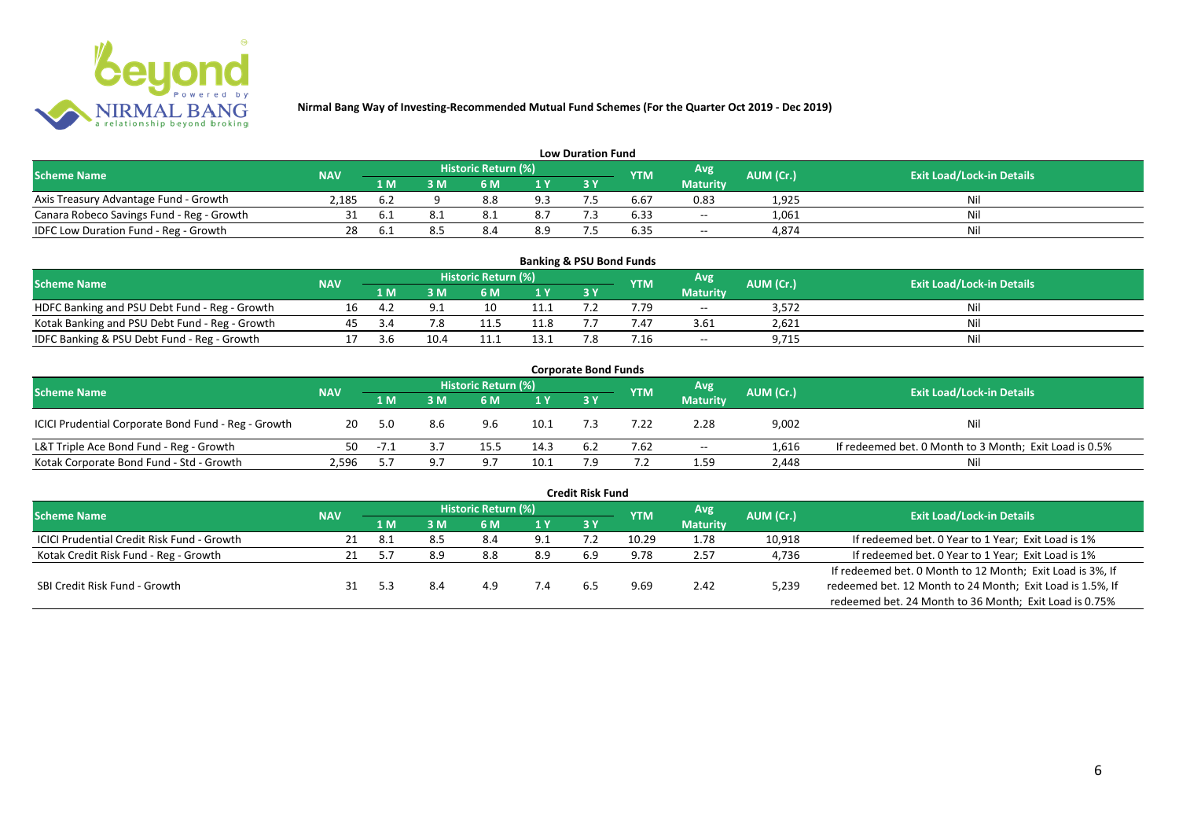

|                                           |                                                                     |      |                                  |     |                | <b>Low Duration Fund</b> |      |                 |       |     |
|-------------------------------------------|---------------------------------------------------------------------|------|----------------------------------|-----|----------------|--------------------------|------|-----------------|-------|-----|
| <b>Scheme Name</b>                        | Historic Return (%)<br>Avg<br>AUM (Cr.)<br><b>NAV</b><br><b>YTM</b> |      | <b>Exit Load/Lock-in Details</b> |     |                |                          |      |                 |       |     |
|                                           |                                                                     | 1 M  | : M                              | 6 M | 1 <sub>V</sub> |                          |      | <b>Maturity</b> |       |     |
| Axis Treasury Advantage Fund - Growth     | 2.185                                                               | .6.Z |                                  | 8.8 | 9.3            |                          | 6.67 | 0.83            | 1,925 | Ni. |
| Canara Robeco Savings Fund - Reg - Growth |                                                                     |      |                                  |     | 8.7            |                          | 6.33 | $\sim$          | 1,061 | Ni. |
| IDFC Low Duration Fund - Reg - Growth     |                                                                     |      |                                  |     | 8.9            |                          | 6.35 | $- -$           | 4.874 | Nii |

| <b>Banking &amp; PSU Bond Funds</b>            |            |     |      |                            |      |     |                |                 |                  |                                  |  |  |  |  |
|------------------------------------------------|------------|-----|------|----------------------------|------|-----|----------------|-----------------|------------------|----------------------------------|--|--|--|--|
| Scheme Name                                    | <b>NAV</b> |     |      | <b>Historic Return (%)</b> |      |     | <b>YTM</b>     | Avg             | <b>AUM (Cr.)</b> | <b>Exit Load/Lock-in Details</b> |  |  |  |  |
|                                                |            | 1 M | sм   |                            | 1 V  | 3 Y |                | <b>Maturity</b> |                  |                                  |  |  |  |  |
| HDFC Banking and PSU Debt Fund - Reg - Growth  |            |     |      | 10                         |      |     | .79            | $- -$           | 3.572            | Ni                               |  |  |  |  |
| Kotak Banking and PSU Debt Fund - Reg - Growth |            |     |      |                            | 11.8 |     |                | 3.61            | 2,621            | Nì                               |  |  |  |  |
| IDFC Banking & PSU Debt Fund - Reg - Growth    |            |     | 10.4 |                            |      |     | $^{\prime}.16$ | $- -$           | 9,715            | Nil                              |  |  |  |  |

| <b>Corporate Bond Funds</b>                         |            |        |     |                     |      |     |            |                 |           |                                                        |  |  |  |  |
|-----------------------------------------------------|------------|--------|-----|---------------------|------|-----|------------|-----------------|-----------|--------------------------------------------------------|--|--|--|--|
| <b>Scheme Name</b>                                  | <b>NAV</b> |        |     | Historic Return (%) |      |     | <b>YTM</b> | Avg'            | AUM (Cr.) | <b>Exit Load/Lock-in Details</b>                       |  |  |  |  |
|                                                     |            | 1 M    | រ M | 6 M                 | 1 Y  | 3Y  |            | <b>Maturity</b> |           |                                                        |  |  |  |  |
| ICICI Prudential Corporate Bond Fund - Reg - Growth | 20         | -5.0   | 8.6 | 9.6                 | 10.1 |     | 7.22       | 2.28            | 9,002     | Nil                                                    |  |  |  |  |
| L&T Triple Ace Bond Fund - Reg - Growth             | 50         | $-7.1$ |     | 15.5                | 14.3 | 6.2 | 7.62       | $\sim$ $\sim$   | 1.616     | If redeemed bet. 0 Month to 3 Month; Exit Load is 0.5% |  |  |  |  |
| Kotak Corporate Bond Fund - Std - Growth            | 2.596      |        |     |                     | 10.1 |     |            | 1.59            | 2,448     | Nil                                                    |  |  |  |  |

|                                            |            |       |     |                            |      | <b>Credit Risk Fund</b> |            |                 |           |                                                           |
|--------------------------------------------|------------|-------|-----|----------------------------|------|-------------------------|------------|-----------------|-----------|-----------------------------------------------------------|
| <b>Scheme Name</b>                         | <b>NAV</b> |       |     | <b>Historic Return (%)</b> |      |                         | <b>YTM</b> | Avg             | AUM (Cr.) | <b>Exit Load/Lock-in Details</b>                          |
|                                            |            | 1 M.  | 3 M | 6 M                        | '1 Y | 3 Y                     |            | <b>Maturity</b> |           |                                                           |
| ICICI Prudential Credit Risk Fund - Growth |            | - 8.1 |     | 8.4                        | 9.1  |                         | 10.29      | 1.78            | 10,918    | If redeemed bet. 0 Year to 1 Year; Exit Load is 1%        |
| Kotak Credit Risk Fund - Reg - Growth      |            |       | 8.9 | 8.8                        | 8.9  | 6.9                     | 9.78       | 2.57            | 4,736     | If redeemed bet. 0 Year to 1 Year; Exit Load is 1%        |
|                                            |            |       |     |                            |      |                         |            |                 |           | If redeemed bet. 0 Month to 12 Month; Exit Load is 3%, If |
| SBI Credit Risk Fund - Growth              |            |       |     | 4.9                        |      | 6.5                     | 9.69       | 2.42            | 5,239     | redeemed bet. 12 Month to 24 Month; Exit Load is 1.5%, If |
|                                            |            |       |     |                            |      |                         |            |                 |           | redeemed bet. 24 Month to 36 Month; Exit Load is 0.75%    |